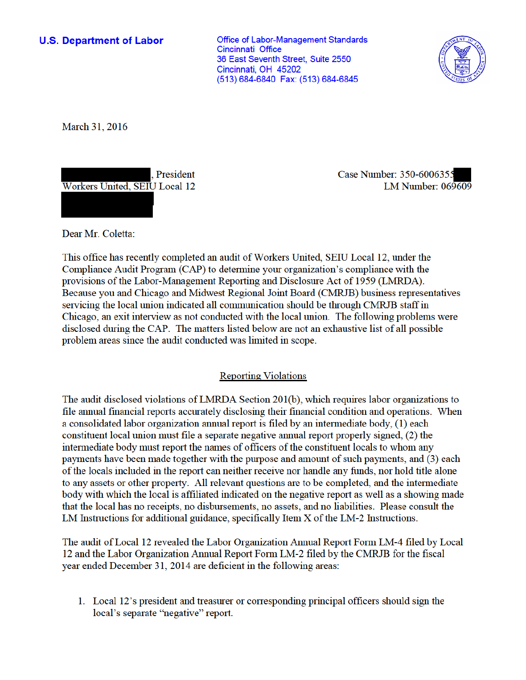**U.S. Department of Labor** 

**Office of Labor-Management Standards** Cincinnati Office 36 East Seventh Street. Suite 2550 Cincinnati, OH 45202 (513) 684-6840 Fax: (513) 684-6845



March 31, 2016

President Workers United, SEIU Local 12 Case Number: 350-6006355 LM Number:  $069609$ 

Dear Mr. Coletta:

This office has recently completed an audit of Workers United, SEIU Local 12, under the Compliance Audit Program (CAP) to determine your organization's compliance with the provisions of the Labor-Management Reporting and Disclosure Act of 1959 (LMRDA). Because you and Chicago and Midwest Regional Joint Board (CMRJB) business representatives servicing the local union indicated all communication should be through CMRJB staff in Chicago, an exit interview as not conducted with the local union. The following problems were disclosed during the CAP. The matters listed below are not an exhaustive list of all possible problem areas since the audit conducted was limited in scope.

## **Reporting Violations**

The audit disclosed violations of LMRDA Section 201(b), which requires labor organizations to file annual financial reports accurately disclosing their financial condition and operations. When a consolidated labor organization annual report is filed by an intermediate body, (1) each constituent local union must file a separate negative annual report properly signed, (2) the intermediate body must report the names of officers of the constituent locals to whom any payments have been made together with the purpose and amount of such payments, and (3) each of the locals included in the report can neither receive nor handle any funds, nor hold title alone to any assets or other property. All relevant questions are to be completed, and the intermediate body with which the local is affiliated indicated on the negative report as well as a showing made that the local has no receipts, no disbursements, no assets, and no liabilities. Please consult the LM Instructions for additional guidance, specifically Item X of the LM-2 Instructions.

The audit of Local 12 revealed the Labor Organization Annual Report Form LM-4 filed by Local 12 and the Labor Organization Annual Report Form LM-2 filed by the CMRJB for the fiscal year ended December 31, 2014 are deficient in the following areas:

1. Local 12's president and treasurer or corresponding principal officers should sign the local's separate "negative" report.